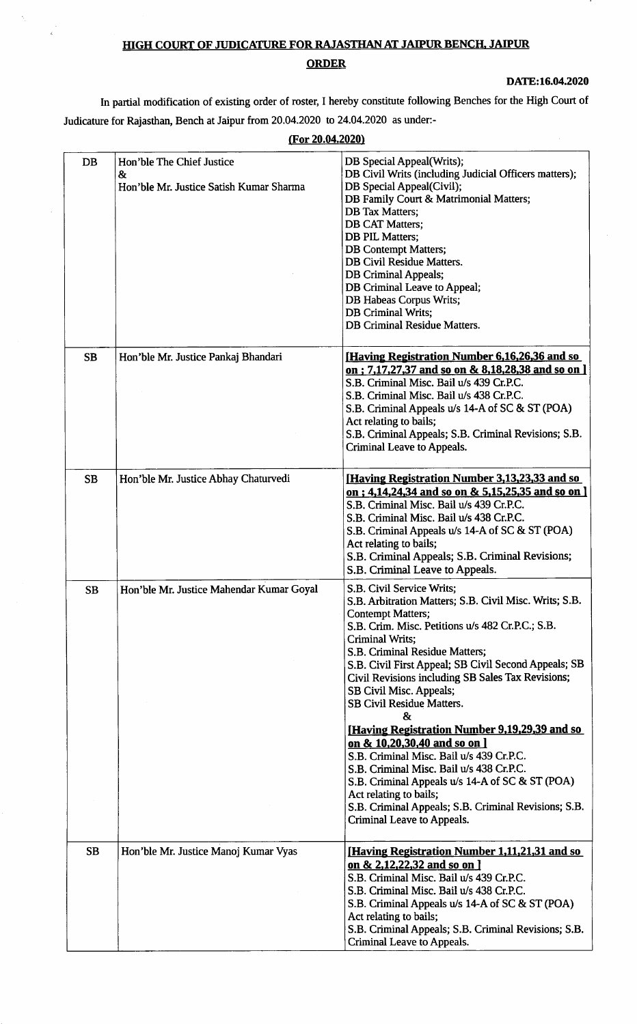## HIGH COURT OF JUDICATURE FOR RAJASTHAN AT JAIPUR BENCH, JAIPUR **ORDER**

Ŕ,

 $\tilde{\epsilon}$ 

DATE:16.04.2020

In partial modification of existing order of roster, I hereby constitute following Benches for the High Court of Judicature for Rajasthan, Bench at Jaipur from 20.04.2020 to 24.04.2020 as under:-

|           | (For 20.04.2020)                                                                       |                                                                                                                                                                                                                                                                                                                                                                                                                                                                                                                                                                |  |  |  |
|-----------|----------------------------------------------------------------------------------------|----------------------------------------------------------------------------------------------------------------------------------------------------------------------------------------------------------------------------------------------------------------------------------------------------------------------------------------------------------------------------------------------------------------------------------------------------------------------------------------------------------------------------------------------------------------|--|--|--|
| DB        | Hon'ble The Chief Justice<br>8 <sub>x</sub><br>Hon'ble Mr. Justice Satish Kumar Sharma | DB Special Appeal(Writs);<br>DB Civil Writs (including Judicial Officers matters);<br>DB Special Appeal(Civil);<br>DB Family Court & Matrimonial Matters;<br><b>DB</b> Tax Matters;<br><b>DB CAT Matters;</b><br><b>DB PIL Matters;</b><br><b>DB</b> Contempt Matters;<br>DB Civil Residue Matters.<br><b>DB Criminal Appeals;</b><br>DB Criminal Leave to Appeal;<br>DB Habeas Corpus Writs;<br><b>DB</b> Criminal Writs;<br><b>DB Criminal Residue Matters.</b>                                                                                              |  |  |  |
| <b>SB</b> | Hon'ble Mr. Justice Pankaj Bhandari                                                    | [Having Registration Number 6,16,26,36 and so<br>on; 7,17,27,37 and so on & 8,18,28,38 and so on ]<br>S.B. Criminal Misc. Bail u/s 439 Cr.P.C.<br>S.B. Criminal Misc. Bail u/s 438 Cr.P.C.<br>S.B. Criminal Appeals u/s 14-A of SC & ST (POA)<br>Act relating to bails;<br>S.B. Criminal Appeals; S.B. Criminal Revisions; S.B.<br><b>Criminal Leave to Appeals.</b>                                                                                                                                                                                           |  |  |  |
| <b>SB</b> | Hon'ble Mr. Justice Abhay Chaturvedi                                                   | <b>Having Registration Number 3,13,23,33 and so</b><br>on; 4,14,24,34 and so on & 5,15,25,35 and so on ]<br>S.B. Criminal Misc. Bail u/s 439 Cr.P.C.<br>S.B. Criminal Misc. Bail u/s 438 Cr.P.C.<br>S.B. Criminal Appeals u/s 14-A of SC & ST (POA)<br>Act relating to bails;<br>S.B. Criminal Appeals; S.B. Criminal Revisions;<br>S.B. Criminal Leave to Appeals.                                                                                                                                                                                            |  |  |  |
| <b>SB</b> | Hon'ble Mr. Justice Mahendar Kumar Goyal                                               | S.B. Civil Service Writs;<br>S.B. Arbitration Matters; S.B. Civil Misc. Writs; S.B.<br><b>Contempt Matters;</b><br>S.B. Crim. Misc. Petitions u/s 482 Cr.P.C.; S.B.<br>Criminal Writs;<br>S.B. Criminal Residue Matters;<br>S.B. Civil First Appeal; SB Civil Second Appeals; SB<br>Civil Revisions including SB Sales Tax Revisions;<br>SB Civil Misc. Appeals;<br><b>SB Civil Residue Matters.</b><br>$\mathbf{g}_{\mathbf{r}}$<br>[Having Registration Number 9,19,29,39 and so<br>on & 10,20,30,40 and so on ]<br>S.B. Criminal Misc. Bail u/s 439 Cr.P.C. |  |  |  |
|           |                                                                                        | S.B. Criminal Misc. Bail u/s 438 Cr.P.C.<br>S.B. Criminal Appeals u/s 14-A of SC & ST (POA)<br>Act relating to bails;<br>S.B. Criminal Appeals; S.B. Criminal Revisions; S.B.<br>Criminal Leave to Appeals.                                                                                                                                                                                                                                                                                                                                                    |  |  |  |
| <b>SB</b> | Hon'ble Mr. Justice Manoj Kumar Vyas                                                   | [Having Registration Number 1,11,21,31 and so<br>on & 2,12,22,32 and so on ]<br>S.B. Criminal Misc. Bail u/s 439 Cr.P.C.<br>S.B. Criminal Misc. Bail u/s 438 Cr.P.C.<br>S.B. Criminal Appeals u/s 14-A of SC & ST (POA)<br>Act relating to bails;<br>S.B. Criminal Appeals; S.B. Criminal Revisions; S.B.<br>Criminal Leave to Appeals.                                                                                                                                                                                                                        |  |  |  |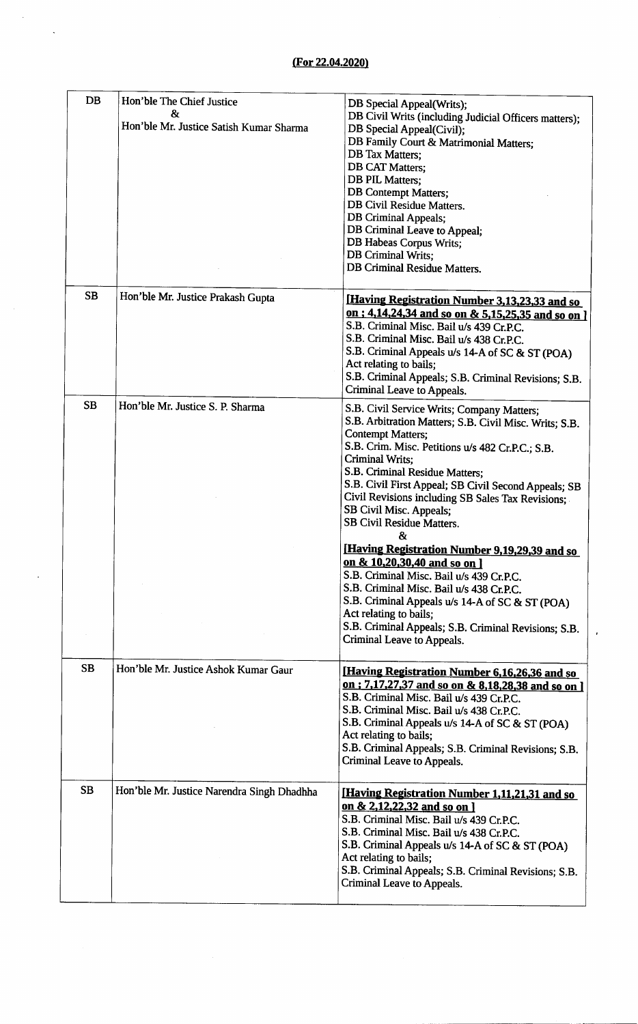$\ddot{\phantom{a}}$ 

 $\ddot{\phantom{1}}$ 

| <b>DB</b> | Hon'ble The Chief Justice<br>&<br>Hon'ble Mr. Justice Satish Kumar Sharma | DB Special Appeal(Writs);<br>DB Civil Writs (including Judicial Officers matters);<br>DB Special Appeal(Civil);<br>DB Family Court & Matrimonial Matters;<br><b>DB</b> Tax Matters;<br><b>DB CAT Matters;</b><br><b>DB PIL Matters;</b><br><b>DB</b> Contempt Matters;<br>DB Civil Residue Matters.<br><b>DB</b> Criminal Appeals;<br>DB Criminal Leave to Appeal;<br>DB Habeas Corpus Writs;<br>DB Criminal Writs;<br><b>DB Criminal Residue Matters.</b>                                                                                                                                                                                                                                                                                                             |
|-----------|---------------------------------------------------------------------------|------------------------------------------------------------------------------------------------------------------------------------------------------------------------------------------------------------------------------------------------------------------------------------------------------------------------------------------------------------------------------------------------------------------------------------------------------------------------------------------------------------------------------------------------------------------------------------------------------------------------------------------------------------------------------------------------------------------------------------------------------------------------|
| <b>SB</b> | Hon'ble Mr. Justice Prakash Gupta                                         | [Having Registration Number 3,13,23,33 and so<br>on : 4,14,24,34 and so on & 5,15,25,35 and so on ]<br>S.B. Criminal Misc. Bail u/s 439 Cr.P.C.<br>S.B. Criminal Misc. Bail u/s 438 Cr.P.C.<br>S.B. Criminal Appeals u/s 14-A of SC & ST (POA)<br>Act relating to bails;<br>S.B. Criminal Appeals; S.B. Criminal Revisions; S.B.<br>Criminal Leave to Appeals.                                                                                                                                                                                                                                                                                                                                                                                                         |
| <b>SB</b> | Hon'ble Mr. Justice S. P. Sharma                                          | S.B. Civil Service Writs; Company Matters;<br>S.B. Arbitration Matters; S.B. Civil Misc. Writs; S.B.<br><b>Contempt Matters;</b><br>S.B. Crim. Misc. Petitions u/s 482 Cr.P.C.; S.B.<br>Criminal Writs;<br>S.B. Criminal Residue Matters;<br>S.B. Civil First Appeal; SB Civil Second Appeals; SB<br>Civil Revisions including SB Sales Tax Revisions;<br>SB Civil Misc. Appeals;<br><b>SB Civil Residue Matters.</b><br>&<br>[Having Registration Number 9,19,29,39 and so<br>on & 10,20,30,40 and so on ]<br>S.B. Criminal Misc. Bail u/s 439 Cr.P.C.<br>S.B. Criminal Misc. Bail u/s 438 Cr.P.C.<br>S.B. Criminal Appeals u/s 14-A of SC & ST (POA)<br>Act relating to bails;<br>S.B. Criminal Appeals; S.B. Criminal Revisions; S.B.<br>Criminal Leave to Appeals. |
| <b>SB</b> | Hon'ble Mr. Justice Ashok Kumar Gaur                                      | [Having Registration Number 6,16,26,36 and so<br>on: 7,17,27,37 and so on & 8,18,28,38 and so on ]<br>S.B. Criminal Misc. Bail u/s 439 Cr.P.C.<br>S.B. Criminal Misc. Bail u/s 438 Cr.P.C.<br>S.B. Criminal Appeals u/s 14-A of SC & ST (POA)<br>Act relating to bails;<br>S.B. Criminal Appeals; S.B. Criminal Revisions; S.B.<br>Criminal Leave to Appeals.                                                                                                                                                                                                                                                                                                                                                                                                          |
| SB        | Hon'ble Mr. Justice Narendra Singh Dhadhha                                | <u>[Having Registration Number 1,11,21,31 and so</u><br>on & 2,12,22,32 and so on ]<br>S.B. Criminal Misc. Bail u/s 439 Cr.P.C.<br>S.B. Criminal Misc. Bail u/s 438 Cr.P.C.<br>S.B. Criminal Appeals u/s 14-A of SC & ST (POA)<br>Act relating to bails;<br>S.B. Criminal Appeals; S.B. Criminal Revisions; S.B.<br>Criminal Leave to Appeals.                                                                                                                                                                                                                                                                                                                                                                                                                         |